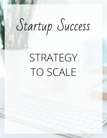# Startup Success

## STRATEGY TO SCALE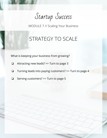Startup Success

## STRATEGY TO SCALE

What is keeping your business from growing?

- ❏ Attracting new leads? >> Turn to page 3
- ❏ Turning leads into paying customers? >> Turn to page 4
- ❏ Serving customers? >> Turn to page 5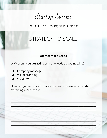Startup Success

## STRATEGY TO SCALE

#### **Attract More Leads**

WHY aren't you attracting as many leads as you need to?

- Company message?  $\Box$
- Visual branding?
- Visibility?  $\Box$

How can you improve this area of your business so as to start attracting more leads?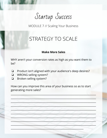Startup Success

## STRATEGY TO SCALE

#### **Make More Sales**

WHY aren't your conversion rates as high as you want them to be?

- Product isn't aligned with your audience's deep desires?  $\Box$
- WRONG selling system?  $\Box$
- Broken selling system?  $\Box$

How can you improve this area of your business so as to start generating more sales?